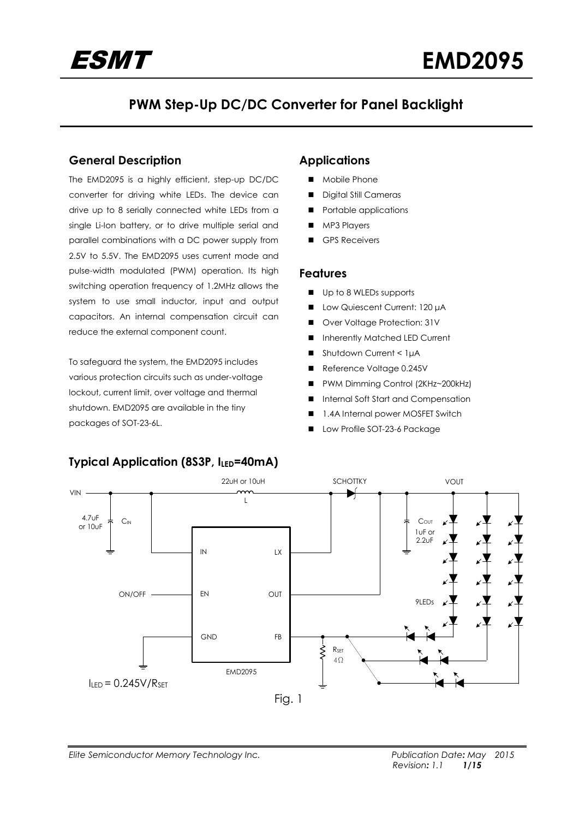

# **PWM Step-Up DC/DC Converter for Panel Backlight**

## **General Description**

The EMD2095 is a highly efficient, step-up DC/DC converter for driving white LEDs. The device can drive up to 8 serially connected white LEDs from a single Li-Ion battery, or to drive multiple serial and parallel combinations with a DC power supply from 2.5V to 5.5V. The EMD2095 uses current mode and pulse-width modulated (PWM) operation. Its high switching operation frequency of 1.2MHz allows the system to use small inductor, input and output capacitors. An internal compensation circuit can reduce the external component count.

To safeguard the system, the EMD2095 includes various protection circuits such as under-voltage lockout, current limit, over voltage and thermal shutdown. EMD2095 are available in the tiny packages of SOT-23-6L.

# **Applications**

- Mobile Phone
- Digital Still Cameras
- Portable applications
- **MP3 Players**
- GPS Receivers

#### **Features**

- Up to 8 WLEDs supports
- **■** Low Quiescent Current: 120 μA
- Over Voltage Protection: 31V
- **Inherently Matched LED Current**
- Shutdown Current < 1µA
- Reference Voltage 0.245V
- PWM Dimming Control (2KHz~200kHz)
- Internal Soft Start and Compensation
- 1.4A Internal power MOSFET Switch
- Low Profile SOT-23-6 Package



# **Typical Application (8S3P, ILED=40mA)**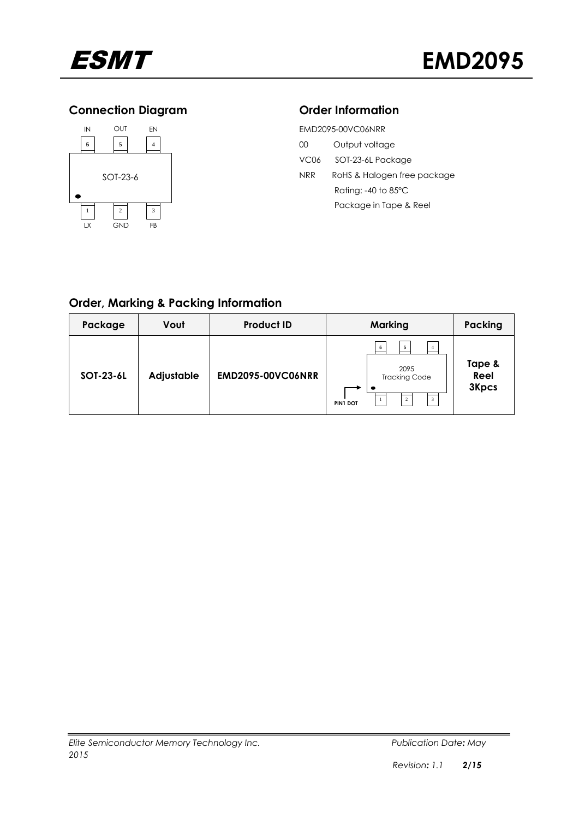

# **Connection Diagram**



| ion Diagram         |                   |                  | <b>Order Information</b>        |
|---------------------|-------------------|------------------|---------------------------------|
| ١UT<br>EN           | EMD2095-00VC06NRR |                  |                                 |
| 5<br>$\overline{4}$ |                   | 00               | Output voltage                  |
|                     |                   | VC <sub>06</sub> | SOT-23-6L Package               |
| $-23-6$             |                   | NRR              | RoHS & Halogen free package     |
|                     |                   |                  | Rating: $-40$ to 85 $\degree$ C |
| $\overline{c}$<br>3 |                   |                  | Package in Tape & Reel          |
|                     |                   |                  |                                 |

# **Order, Marking & Packing Information**

| Package   | Vout              | <b>Product ID</b>        | <b>Marking</b>                                                                              | Packing                        |
|-----------|-------------------|--------------------------|---------------------------------------------------------------------------------------------|--------------------------------|
| SOT-23-6L | <b>Adjustable</b> | <b>EMD2095-00VC06NRR</b> | 5<br>6<br>2095<br><b>Tracking Code</b><br>$\mathbf{3}$<br>$\overline{c}$<br><b>PIN1 DOT</b> | Tape &<br>Reel<br><b>3Kpcs</b> |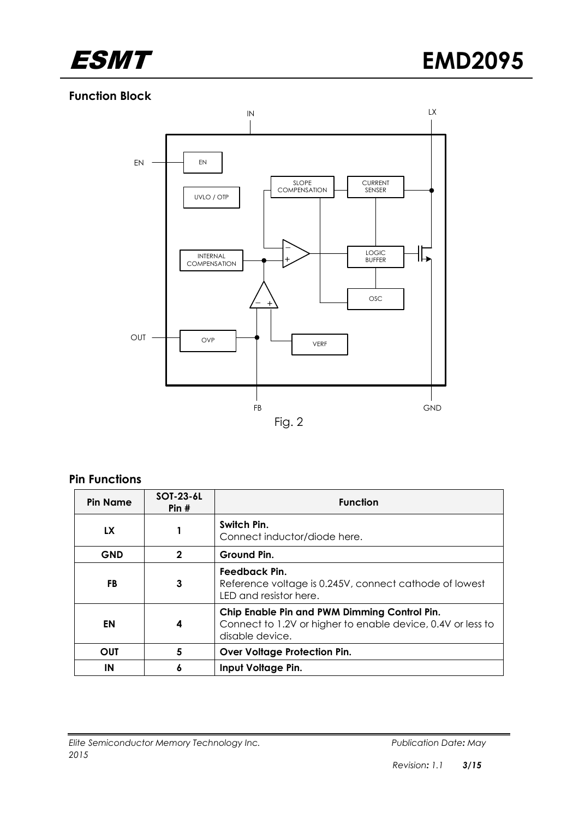

# **Function Block**



### **Pin Functions**

| <b>Pin Name</b> | <b>SOT-23-6L</b><br>Pin# | <b>Function</b>                                                                                                                |  |
|-----------------|--------------------------|--------------------------------------------------------------------------------------------------------------------------------|--|
| LX              | 1                        | Switch Pin.<br>Connect inductor/diode here.                                                                                    |  |
| <b>GND</b>      | $\mathbf{2}$             | Ground Pin.                                                                                                                    |  |
| FB              | 3                        | Feedback Pin.<br>Reference voltage is 0.245V, connect cathode of lowest<br>LED and resistor here.                              |  |
| EN              | 4                        | Chip Enable Pin and PWM Dimming Control Pin.<br>Connect to 1.2V or higher to enable device, 0.4V or less to<br>disable device. |  |
| <b>OUT</b>      | 5                        | <b>Over Voltage Protection Pin.</b>                                                                                            |  |
| ΙN              | 6                        | Input Voltage Pin.                                                                                                             |  |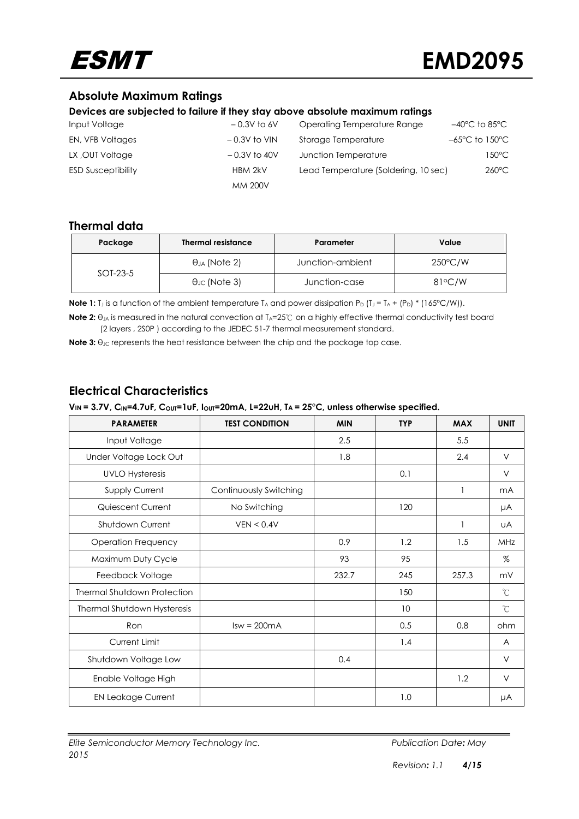

# **Absolute Maximum Ratings**

#### **Devices are subjected to failure if they stay above absolute maximum ratings**

| Input Voltage             | $-0.3V$ to 6V  | Operating Temperature Range          | $-40^{\circ}$ C to 85 $^{\circ}$ C  |
|---------------------------|----------------|--------------------------------------|-------------------------------------|
| EN, VFB Voltages          | $-0.3V$ to VIN | Storage Temperature                  | $-65^{\circ}$ C to 150 $^{\circ}$ C |
| LX, OUT Voltage           | $-0.3V$ to 40V | Junction Temperature                 | 150°C                               |
| <b>ESD Susceptibility</b> | HBM 2kV        | Lead Temperature (Soldering, 10 sec) | $260^{\circ}$ C                     |
|                           | <b>MM 200V</b> |                                      |                                     |

#### **Thermal data**

| Package    | <b>Thermal resistance</b> | Parameter        | Value             |
|------------|---------------------------|------------------|-------------------|
| $SOT-23-5$ | $\theta_{JA}$ (Note 2)    | Junction-ambient | $250^{\circ}$ C/W |
|            | $\theta$ Jc (Note 3)      | Junction-case    | $81^{\circ}$ C/W  |

**Note 1:** T<sub>J</sub> is a function of the ambient temperature T<sub>A</sub> and power dissipation P<sub>D</sub> (T<sub>J</sub> = T<sub>A</sub> + (P<sub>D</sub>) \* (165°C/W)).

**Note 2:** θ<sub>JA</sub> is measured in the natural convection at T<sub>A</sub>=25℃ on a highly effective thermal conductivity test board (2 layers , 2S0P ) according to the JEDEC 51-7 thermal measurement standard.

**Note 3:** θ<sub>JC</sub> represents the heat resistance between the chip and the package top case.

## **Electrical Characteristics**

| <b>PARAMETER</b>                   | <b>TEST CONDITION</b>  | <b>MIN</b> | <b>TYP</b> | <b>MAX</b> | <b>UNIT</b>    |
|------------------------------------|------------------------|------------|------------|------------|----------------|
| Input Voltage                      |                        | 2.5        |            | 5.5        |                |
| Under Voltage Lock Out             |                        | 1.8        |            | 2.4        | $\vee$         |
| <b>UVLO Hysteresis</b>             |                        |            | 0.1        |            | $\vee$         |
| Supply Current                     | Continuously Switching |            |            | 1          | mA             |
| Quiescent Current                  | No Switching           |            | 120        |            | μA             |
| Shutdown Current                   | VEN < 0.4V             |            |            | 1          | UA             |
| <b>Operation Frequency</b>         |                        | 0.9        | 1.2        | 1.5        | MHz            |
| Maximum Duty Cycle                 |                        | 93         | 95         |            | $\%$           |
| Feedback Voltage                   |                        | 232.7      | 245        | 257.3      | mV             |
| <b>Thermal Shutdown Protection</b> |                        |            | 150        |            | °C             |
| Thermal Shutdown Hysteresis        |                        |            | 10         |            | °C             |
| Ron                                | $Isw = 200mA$          |            | 0.5        | 0.8        | ohm            |
| Current Limit                      |                        |            | 1.4        |            | $\overline{A}$ |
| Shutdown Voltage Low               |                        | 0.4        |            |            | $\vee$         |
| Enable Voltage High                |                        |            |            | 1.2        | $\vee$         |
| <b>EN Leakage Current</b>          |                        |            | 1.0        |            | μA             |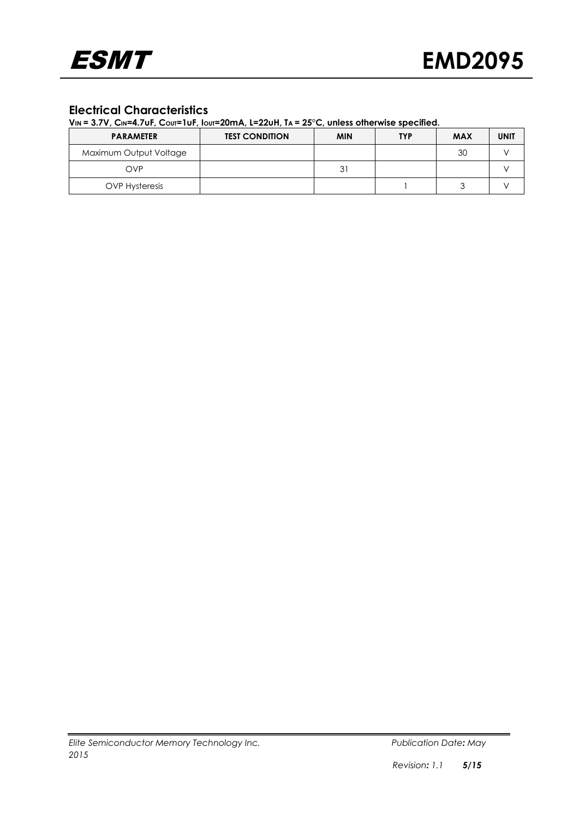## **Electrical Characteristics**

| <b>PARAMETER</b>       | <b>TEST CONDITION</b> | <b>MIN</b> | <b>TYP</b> | <b>MAX</b> | <b>UNIT</b> |
|------------------------|-----------------------|------------|------------|------------|-------------|
| Maximum Output Voltage |                       |            |            | 30         |             |
| OVP                    |                       | 31         |            |            |             |
| <b>OVP Hysteresis</b>  |                       |            |            |            |             |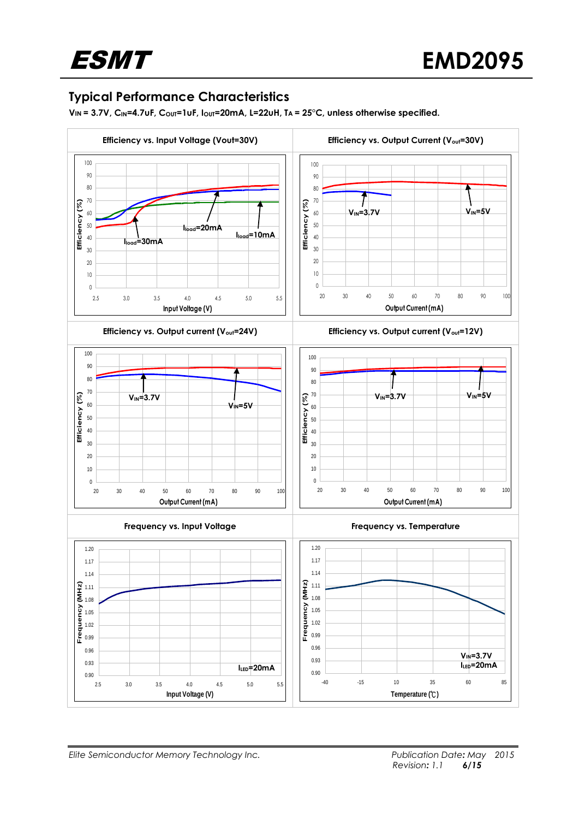# **Typical Performance Characteristics**

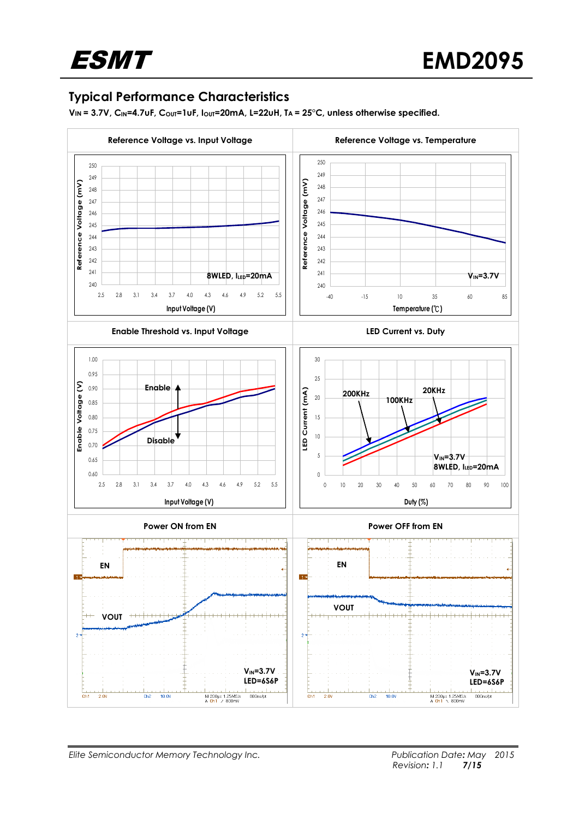# **Typical Performance Characteristics**

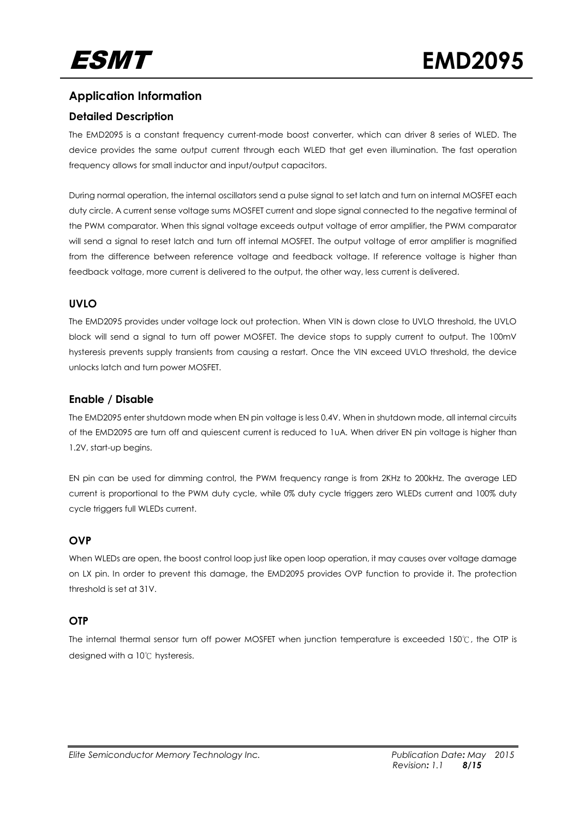# **Application Information**

### **Detailed Description**

The EMD2095 is a constant frequency current-mode boost converter, which can driver 8 series of WLED. The device provides the same output current through each WLED that get even illumination. The fast operation frequency allows for small inductor and input/output capacitors.

During normal operation, the internal oscillators send a pulse signal to set latch and turn on internal MOSFET each duty circle. A current sense voltage sums MOSFET current and slope signal connected to the negative terminal of the PWM comparator. When this signal voltage exceeds output voltage of error amplifier, the PWM comparator will send a signal to reset latch and turn off internal MOSFET. The output voltage of error amplifier is magnified from the difference between reference voltage and feedback voltage. If reference voltage is higher than feedback voltage, more current is delivered to the output, the other way, less current is delivered.

### **UVLO**

The EMD2095 provides under voltage lock out protection. When VIN is down close to UVLO threshold, the UVLO block will send a signal to turn off power MOSFET. The device stops to supply current to output. The 100mV hysteresis prevents supply transients from causing a restart. Once the VIN exceed UVLO threshold, the device unlocks latch and turn power MOSFET.

### **Enable / Disable**

The EMD2095 enter shutdown mode when EN pin voltage is less 0.4V. When in shutdown mode, all internal circuits of the EMD2095 are turn off and quiescent current is reduced to 1uA. When driver EN pin voltage is higher than 1.2V, start-up begins.

EN pin can be used for dimming control, the PWM frequency range is from 2KHz to 200kHz. The average LED current is proportional to the PWM duty cycle, while 0% duty cycle triggers zero WLEDs current and 100% duty cycle triggers full WLEDs current.

## **OVP**

When WLEDs are open, the boost control loop just like open loop operation, it may causes over voltage damage on LX pin. In order to prevent this damage, the EMD2095 provides OVP function to provide it. The protection threshold is set at 31V.

### **OTP**

The internal thermal sensor turn off power MOSFET when junction temperature is exceeded 150℃, the OTP is designed with a 10℃ hysteresis.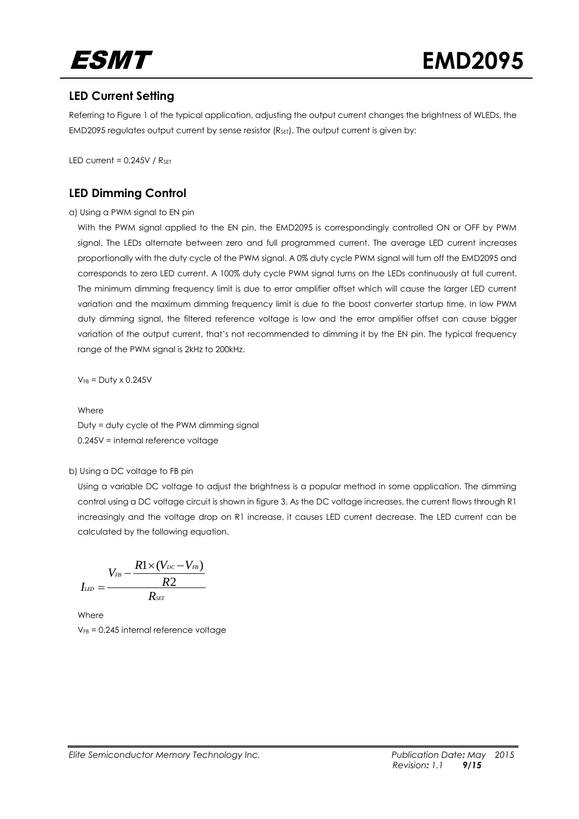

# **LED Current Setting**

Referring to Figure 1 of the typical application, adjusting the output current changes the brightness of WLEDs, the  $EMD2095$  regulates output current by sense resistor  $(R<sub>SET</sub>)$ . The output current is given by:

LED current =  $0.245V / R_{\text{SET}}$ 

# **LED Dimming Control**

#### a) Using a PWM signal to EN pin

With the PWM signal applied to the EN pin, the EMD2095 is correspondingly controlled ON or OFF by PWM signal. The LEDs alternate between zero and full programmed current. The average LED current increases proportionally with the duty cycle of the PWM signal. A 0% duty cycle PWM signal will turn off the EMD2095 and corresponds to zero LED current. A 100% duty cycle PWM signal turns on the LEDs continuously at full current. The minimum dimming frequency limit is due to error amplifier offset which will cause the larger LED current variation and the maximum dimming frequency limit is due to the boost converter startup time. In low PWM duty dimming signal, the filtered reference voltage is low and the error amplifier offset can cause bigger variation of the output current, that's not recommended to dimming it by the EN pin. The typical frequency range of the PWM signal is 2kHz to 200kHz.

 $V_{FB} = Duty \times 0.245V$ 

Where Duty = duty cycle of the PWM dimming signal 0.245V = internal reference voltage

#### b) Using a DC voltage to FB pin

Using a variable DC voltage to adjust the brightness is a popular method in some application. The dimming control using a DC voltage circuit is shown in figure 3. As the DC voltage increases, the current flows through R1 increasingly and the voltage drop on R1 increase, it causes LED current decrease. The LED current can be calculated by the following equation.

$$
I_{\scriptscriptstyle L\!E\!D}=\frac{V_{\scriptscriptstyle FB}-\frac{R1\times(V_{\scriptscriptstyle DC}-V_{\scriptscriptstyle FB})}{R2}}{R_{\scriptscriptstyle SET}}
$$

Where  $V_{FB}$  = 0.245 internal reference voltage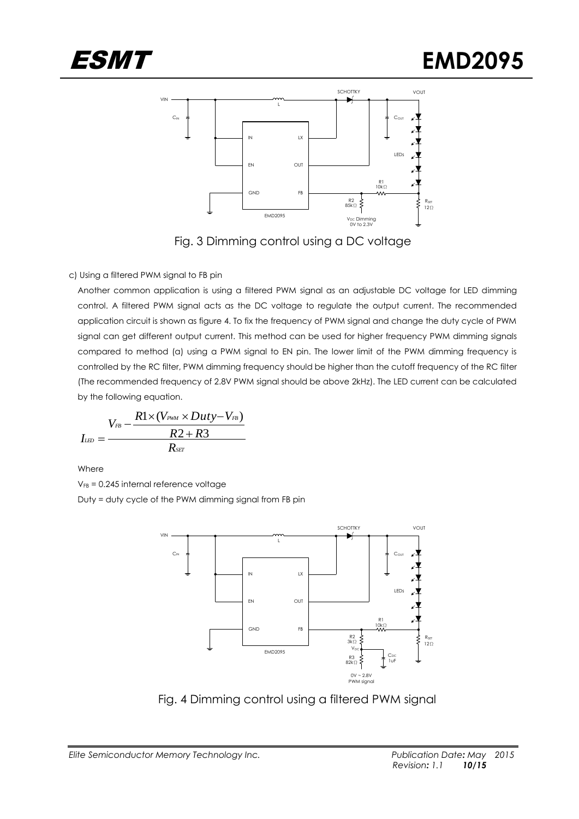



Fig. 3 Dimming control using a DC voltage

#### c) Using a filtered PWM signal to FB pin

Another common application is using a filtered PWM signal as an adjustable DC voltage for LED dimming control. A filtered PWM signal acts as the DC voltage to regulate the output current. The recommended application circuit is shown as figure 4. To fix the frequency of PWM signal and change the duty cycle of PWM signal can get different output current. This method can be used for higher frequency PWM dimming signals compared to method (a) using a PWM signal to EN pin. The lower limit of the PWM dimming frequency is controlled by the RC filter, PWM dimming frequency should be higher than the cutoff frequency of the RC filter (The recommended frequency of 2.8V PWM signal should be above 2kHz). The LED current can be calculated by the following equation.

$$
I_{\scriptscriptstyle L\scriptscriptstyle ED}=\frac{V_{\scriptscriptstyle FB}-\frac{R1\times(V_{\scriptscriptstyle PWM}\times Duty-V_{\scriptscriptstyle FB})}{R2+R3}}{R_{\scriptscriptstyle SET}}
$$

Where

 $V_{FB}$  = 0.245 internal reference voltage Duty = duty cycle of the PWM dimming signal from FB pin



Fig. 4 Dimming control using a filtered PWM signal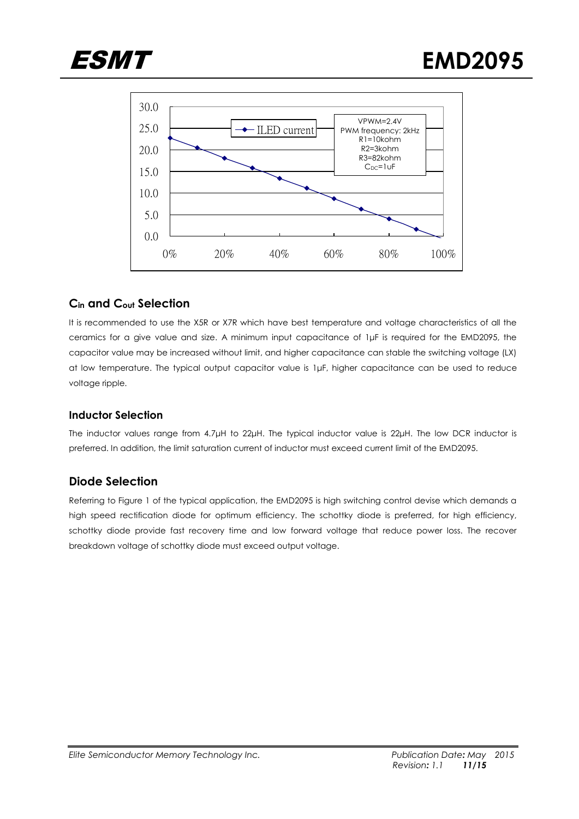



## **Cin and Cout Selection**

It is recommended to use the X5R or X7R which have best temperature and voltage characteristics of all the ceramics for a give value and size. A minimum input capacitance of 1μF is required for the EMD2095, the capacitor value may be increased without limit, and higher capacitance can stable the switching voltage (LX) at low temperature. The typical output capacitor value is 1μF, higher capacitance can be used to reduce voltage ripple.

#### **Inductor Selection**

The inductor values range from 4.7μH to 22μH. The typical inductor value is 22μH. The low DCR inductor is preferred. In addition, the limit saturation current of inductor must exceed current limit of the EMD2095.

## **Diode Selection**

Referring to Figure 1 of the typical application, the EMD2095 is high switching control devise which demands a high speed rectification diode for optimum efficiency. The schottky diode is preferred, for high efficiency, schottky diode provide fast recovery time and low forward voltage that reduce power loss. The recover breakdown voltage of schottky diode must exceed output voltage.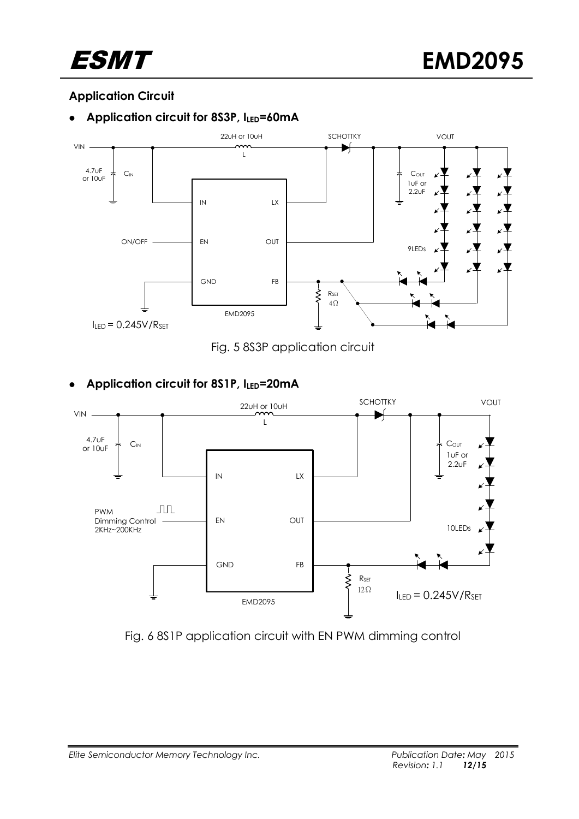

# **Application Circuit**

# **Application circuit for 8S3P, ILED=60mA**





# **Application circuit for 8S1P, ILED=20mA**



Fig. 6 8S1P application circuit with EN PWM dimming control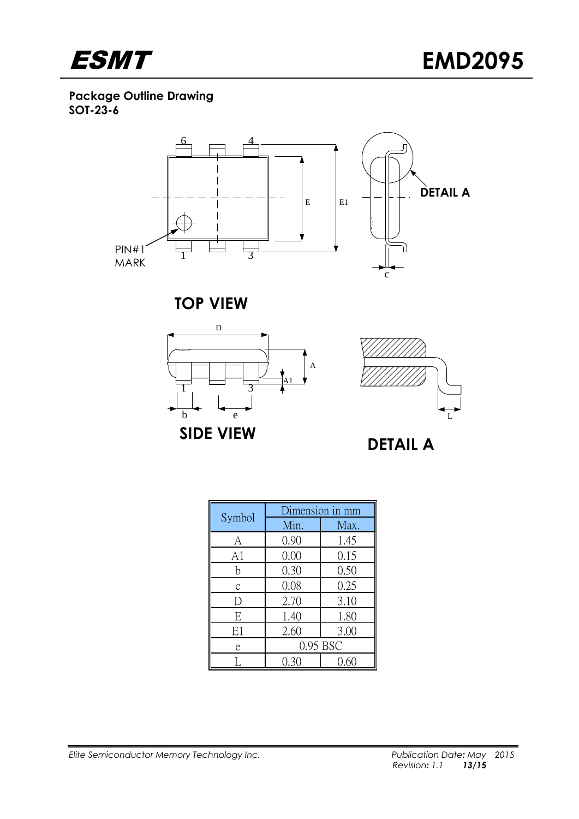

**Package Outline Drawing SOT-23-6**



**TOP VIEW**





|        | Dimension in mm |      |  |
|--------|-----------------|------|--|
| Symbol | Min.            | Max. |  |
| A      | 0.90            | 1.45 |  |
| A1     | 0.00            | 0.15 |  |
| h      | 0.30            | 0.50 |  |
| C      | 0.08            | 0.25 |  |
| ۱)     | 2.70            | 3.10 |  |
| E      | 1.40            | 1.80 |  |
| E1     | 2.60            | 3.00 |  |
| e      | 0.95 BSC        |      |  |
|        | 0.30            | ().რ |  |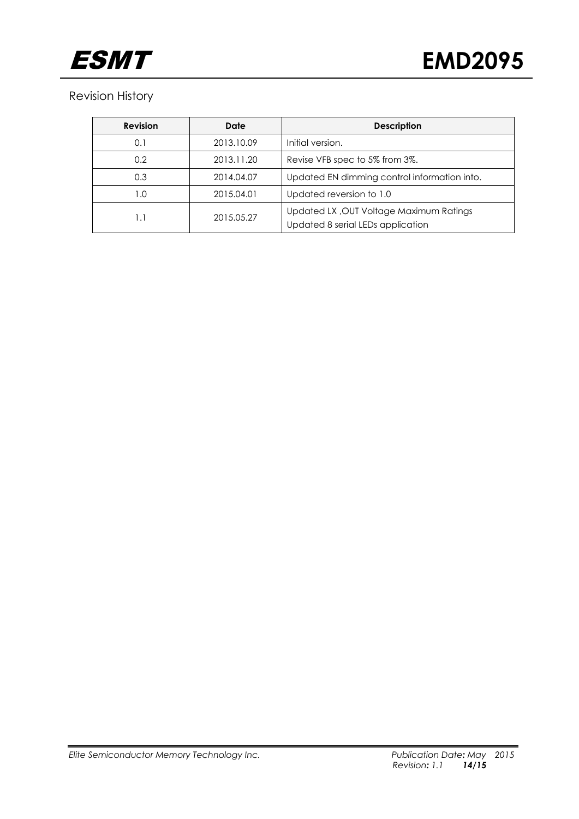

# Revision History

| <b>Revision</b> | Date                                   | <b>Description</b>                                                           |
|-----------------|----------------------------------------|------------------------------------------------------------------------------|
| 0.1             | 2013.10.09                             | Initial version.                                                             |
| 0.2             | 2013.11.20                             | Revise VFB spec to 5% from 3%.                                               |
| 0.3             | 2014.04.07                             | Updated EN dimming control information into.                                 |
| 1.0             | Updated reversion to 1.0<br>2015.04.01 |                                                                              |
| I.I             | 2015.05.27                             | Updated LX, OUT Voltage Maximum Ratings<br>Updated 8 serial LEDs application |